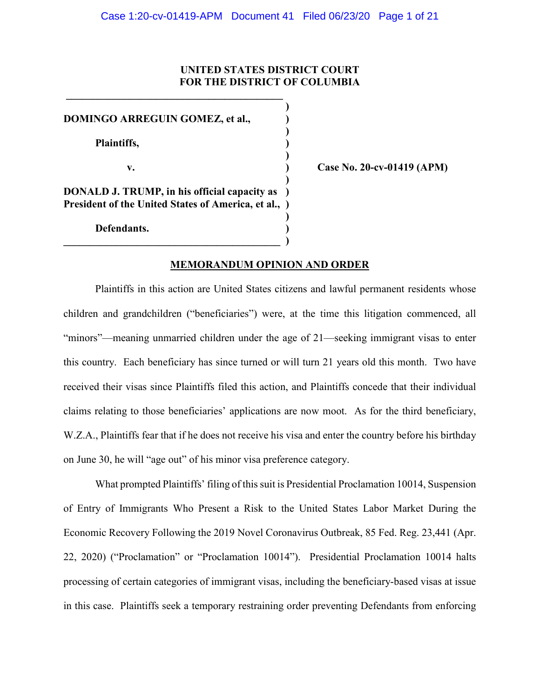# **UNITED STATES DISTRICT COURT FOR THE DISTRICT OF COLUMBIA**

**)**

**)**

**)**

**)**

**)**

**DOMINGO ARREGUIN GOMEZ, et al., ) Plaintiffs, ) v. ) Case No. 20-cv-01419 (APM) DONALD J. TRUMP, in his official capacity as ) President of the United States of America, et al., ) Defendants. )**

**\_\_\_\_\_\_\_\_\_\_\_\_\_\_\_\_\_\_\_\_\_\_\_\_\_\_\_\_\_\_\_\_\_\_\_\_\_\_\_\_\_ )**

**\_\_\_\_\_\_\_\_\_\_\_\_\_\_\_\_\_\_\_\_\_\_\_\_\_\_\_\_\_\_\_\_\_\_\_\_\_\_\_\_\_** 

#### **MEMORANDUM OPINION AND ORDER**

Plaintiffs in this action are United States citizens and lawful permanent residents whose children and grandchildren ("beneficiaries") were, at the time this litigation commenced, all "minors"—meaning unmarried children under the age of 21—seeking immigrant visas to enter this country. Each beneficiary has since turned or will turn 21 years old this month. Two have received their visas since Plaintiffs filed this action, and Plaintiffs concede that their individual claims relating to those beneficiaries' applications are now moot. As for the third beneficiary, W.Z.A., Plaintiffs fear that if he does not receive his visa and enter the country before his birthday on June 30, he will "age out" of his minor visa preference category.

What prompted Plaintiffs' filing of this suit is Presidential Proclamation 10014, Suspension of Entry of Immigrants Who Present a Risk to the United States Labor Market During the Economic Recovery Following the 2019 Novel Coronavirus Outbreak, 85 Fed. Reg. 23,441 (Apr. 22, 2020) ("Proclamation" or "Proclamation 10014"). Presidential Proclamation 10014 halts processing of certain categories of immigrant visas, including the beneficiary-based visas at issue in this case. Plaintiffs seek a temporary restraining order preventing Defendants from enforcing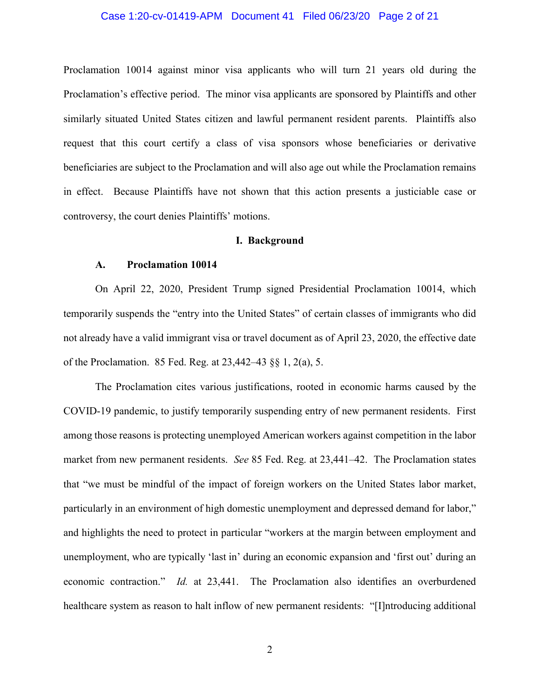# Case 1:20-cv-01419-APM Document 41 Filed 06/23/20 Page 2 of 21

Proclamation 10014 against minor visa applicants who will turn 21 years old during the Proclamation's effective period. The minor visa applicants are sponsored by Plaintiffs and other similarly situated United States citizen and lawful permanent resident parents. Plaintiffs also request that this court certify a class of visa sponsors whose beneficiaries or derivative beneficiaries are subject to the Proclamation and will also age out while the Proclamation remains in effect. Because Plaintiffs have not shown that this action presents a justiciable case or controversy, the court denies Plaintiffs' motions.

# **I. Background**

#### **A. Proclamation 10014**

On April 22, 2020, President Trump signed Presidential Proclamation 10014, which temporarily suspends the "entry into the United States" of certain classes of immigrants who did not already have a valid immigrant visa or travel document as of April 23, 2020, the effective date of the Proclamation. 85 Fed. Reg. at 23,442–43 §§ 1, 2(a), 5.

The Proclamation cites various justifications, rooted in economic harms caused by the COVID-19 pandemic, to justify temporarily suspending entry of new permanent residents. First among those reasons is protecting unemployed American workers against competition in the labor market from new permanent residents. *See* 85 Fed. Reg. at 23,441–42. The Proclamation states that "we must be mindful of the impact of foreign workers on the United States labor market, particularly in an environment of high domestic unemployment and depressed demand for labor," and highlights the need to protect in particular "workers at the margin between employment and unemployment, who are typically 'last in' during an economic expansion and 'first out' during an economic contraction." *Id.* at 23,441.The Proclamation also identifies an overburdened healthcare system as reason to halt inflow of new permanent residents: "[I]ntroducing additional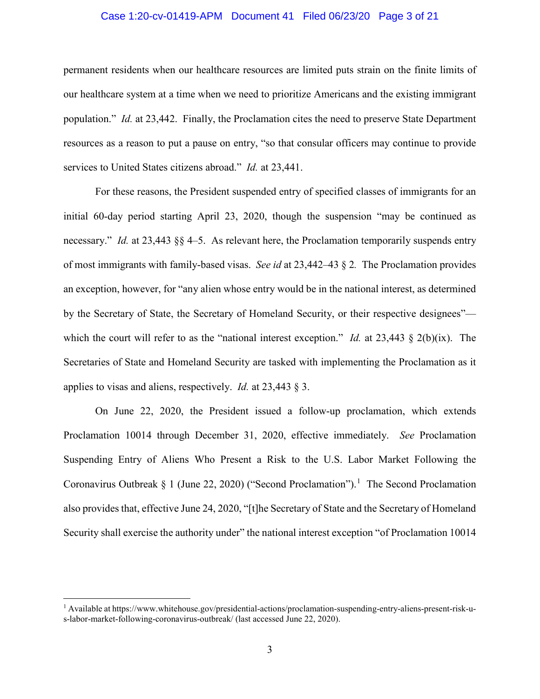# Case 1:20-cv-01419-APM Document 41 Filed 06/23/20 Page 3 of 21

permanent residents when our healthcare resources are limited puts strain on the finite limits of our healthcare system at a time when we need to prioritize Americans and the existing immigrant population." *Id.* at 23,442.Finally, the Proclamation cites the need to preserve State Department resources as a reason to put a pause on entry, "so that consular officers may continue to provide services to United States citizens abroad." *Id.* at 23,441.

For these reasons, the President suspended entry of specified classes of immigrants for an initial 60-day period starting April 23, 2020, though the suspension "may be continued as necessary." *Id.* at 23,443 §§ 4–5. As relevant here, the Proclamation temporarily suspends entry of most immigrants with family-based visas. *See id* at 23,442–43 § 2*.* The Proclamation provides an exception, however, for "any alien whose entry would be in the national interest, as determined by the Secretary of State, the Secretary of Homeland Security, or their respective designees" which the court will refer to as the "national interest exception." *Id.* at 23,443 § 2(b)(ix). The Secretaries of State and Homeland Security are tasked with implementing the Proclamation as it applies to visas and aliens, respectively. *Id.* at 23,443 § 3.

On June 22, 2020, the President issued a follow-up proclamation, which extends Proclamation 10014 through December 31, 2020, effective immediately. *See* Proclamation Suspending Entry of Aliens Who Present a Risk to the U.S. Labor Market Following the Coronavirus Outbreak § 1 (June 22, 2020) ("Second Proclamation").<sup>1</sup> The Second Proclamation also provides that, effective June 24, 2020, "[t]he Secretary of State and the Secretary of Homeland Security shall exercise the authority under" the national interest exception "of Proclamation 10014

 $\overline{\phantom{a}}$ 

<sup>1</sup> Available at https://www.whitehouse.gov/presidential-actions/proclamation-suspending-entry-aliens-present-risk-us-labor-market-following-coronavirus-outbreak/ (last accessed June 22, 2020).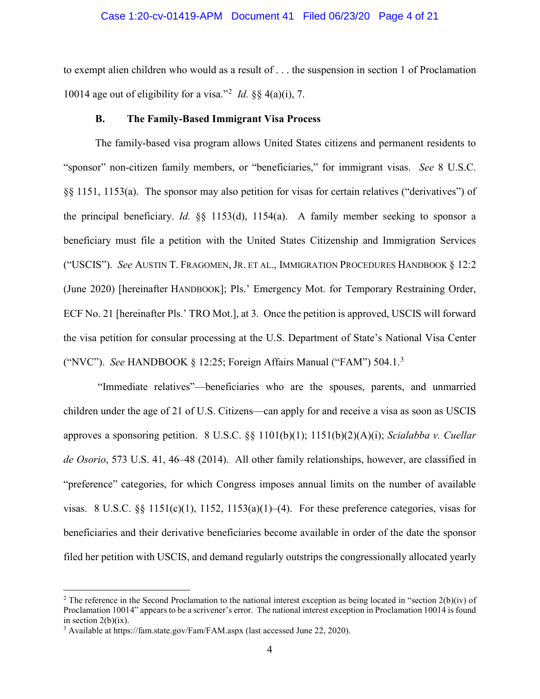### Case 1:20-cv-01419-APM Document 41 Filed 06/23/20 Page 4 of 21

to exempt alien children who would as a result of . . . the suspension in section 1 of Proclamation 10014 age out of eligibility for a visa."<sup>2</sup> *Id.* §§ 4(a)(i), 7.

#### **B. The Family-Based Immigrant Visa Process**

The family-based visa program allows United States citizens and permanent residents to "sponsor" non-citizen family members, or "beneficiaries," for immigrant visas. *See* 8 U.S.C. §§ 1151, 1153(a). The sponsor may also petition for visas for certain relatives ("derivatives") of the principal beneficiary. *Id.* §§ 1153(d), 1154(a). A family member seeking to sponsor a beneficiary must file a petition with the United States Citizenship and Immigration Services ("USCIS"). *See* AUSTIN T. FRAGOMEN, JR. ET AL., IMMIGRATION PROCEDURES HANDBOOK § 12:2 (June 2020) [hereinafter HANDBOOK]; Pls.' Emergency Mot. for Temporary Restraining Order, ECF No. 21 [hereinafter Pls.' TRO Mot.], at 3. Once the petition is approved, USCIS will forward the visa petition for consular processing at the U.S. Department of State's National Visa Center ("NVC"). *See* HANDBOOK § 12:25; Foreign Affairs Manual ("FAM") 504.1. 3

"Immediate relatives"—beneficiaries who are the spouses, parents, and unmarried children under the age of 21 of U.S. Citizens—can apply for and receive a visa as soon as USCIS approves a sponsoring petition. 8 U.S.C. §§ 1101(b)(1); 1151(b)(2)(A)(i); *Scialabba v. Cuellar de Osorio*, 573 U.S. 41, 46–48 (2014). All other family relationships, however, are classified in "preference" categories, for which Congress imposes annual limits on the number of available visas. 8 U.S.C. §§ 1151(c)(1), 1152, 1153(a)(1)–(4). For these preference categories, visas for beneficiaries and their derivative beneficiaries become available in order of the date the sponsor filed her petition with USCIS, and demand regularly outstrips the congressionally allocated yearly

<sup>&</sup>lt;sup>2</sup> The reference in the Second Proclamation to the national interest exception as being located in "section  $2(b)(iv)$  of Proclamation 10014" appears to be a scrivener's error. The national interest exception in Proclamation 10014 is found in section  $2(b)(ix)$ .

<sup>3</sup> Available at https://fam.state.gov/Fam/FAM.aspx (last accessed June 22, 2020).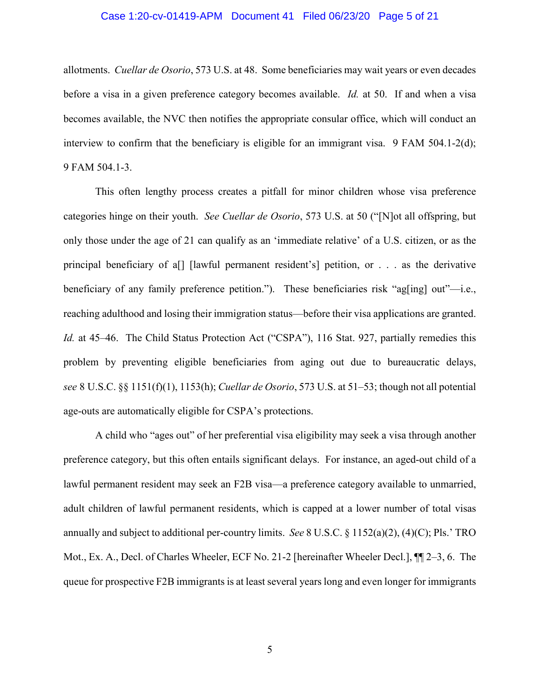### Case 1:20-cv-01419-APM Document 41 Filed 06/23/20 Page 5 of 21

allotments. *Cuellar de Osorio*, 573 U.S. at 48. Some beneficiaries may wait years or even decades before a visa in a given preference category becomes available. *Id.* at 50. If and when a visa becomes available, the NVC then notifies the appropriate consular office, which will conduct an interview to confirm that the beneficiary is eligible for an immigrant visa. 9 FAM 504.1-2(d); 9 FAM 504.1-3.

This often lengthy process creates a pitfall for minor children whose visa preference categories hinge on their youth. *See Cuellar de Osorio*, 573 U.S. at 50 ("[N]ot all offspring, but only those under the age of 21 can qualify as an 'immediate relative' of a U.S. citizen, or as the principal beneficiary of a[] [lawful permanent resident's] petition, or . . . as the derivative beneficiary of any family preference petition."). These beneficiaries risk "ag[ing] out"—i.e., reaching adulthood and losing their immigration status—before their visa applications are granted. *Id.* at 45–46. The Child Status Protection Act ("CSPA"), 116 Stat. 927, partially remedies this problem by preventing eligible beneficiaries from aging out due to bureaucratic delays, *see* 8 U.S.C. §§ 1151(f)(1), 1153(h); *Cuellar de Osorio*, 573 U.S. at 51–53; though not all potential age-outs are automatically eligible for CSPA's protections.

A child who "ages out" of her preferential visa eligibility may seek a visa through another preference category, but this often entails significant delays. For instance, an aged-out child of a lawful permanent resident may seek an F2B visa—a preference category available to unmarried, adult children of lawful permanent residents, which is capped at a lower number of total visas annually and subject to additional per-country limits. *See* 8 U.S.C. § 1152(a)(2), (4)(C); Pls.' TRO Mot., Ex. A., Decl. of Charles Wheeler, ECF No. 21-2 [hereinafter Wheeler Decl.], ¶¶ 2–3, 6. The queue for prospective F2B immigrants is at least several years long and even longer for immigrants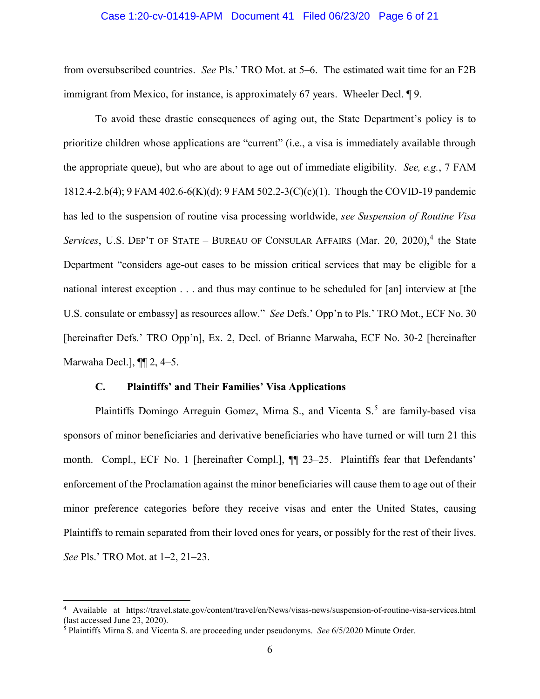### Case 1:20-cv-01419-APM Document 41 Filed 06/23/20 Page 6 of 21

from oversubscribed countries. *See* Pls.' TRO Mot. at 5–6. The estimated wait time for an F2B immigrant from Mexico, for instance, is approximately 67 years. Wheeler Decl. ¶ 9.

To avoid these drastic consequences of aging out, the State Department's policy is to prioritize children whose applications are "current" (i.e., a visa is immediately available through the appropriate queue), but who are about to age out of immediate eligibility. *See, e.g.*, 7 FAM 1812.4-2.b(4); 9 FAM 402.6-6(K)(d); 9 FAM 502.2-3(C)(c)(1). Though the COVID-19 pandemic has led to the suspension of routine visa processing worldwide, *see Suspension of Routine Visa Services*, U.S. DEP'T OF STATE – BUREAU OF CONSULAR AFFAIRS (Mar. 20, 2020), <sup>4</sup> the State Department "considers age-out cases to be mission critical services that may be eligible for a national interest exception . . . and thus may continue to be scheduled for [an] interview at [the U.S. consulate or embassy] as resources allow." *See* Defs.' Opp'n to Pls.' TRO Mot., ECF No. 30 [hereinafter Defs.' TRO Opp'n], Ex. 2, Decl. of Brianne Marwaha, ECF No. 30-2 [hereinafter Marwaha Decl.], ¶¶ 2, 4–5.

# **C. Plaintiffs' and Their Families' Visa Applications**

Plaintiffs Domingo Arreguin Gomez, Mirna S., and Vicenta  $S<sub>0</sub>$ <sup>5</sup> are family-based visa sponsors of minor beneficiaries and derivative beneficiaries who have turned or will turn 21 this month. Compl., ECF No. 1 [hereinafter Compl.], ¶¶ 23–25. Plaintiffs fear that Defendants' enforcement of the Proclamation against the minor beneficiaries will cause them to age out of their minor preference categories before they receive visas and enter the United States, causing Plaintiffs to remain separated from their loved ones for years, or possibly for the rest of their lives. *See* Pls.' TRO Mot. at 1–2, 21–23.

<sup>4</sup> Available at https://travel.state.gov/content/travel/en/News/visas-news/suspension-of-routine-visa-services.html (last accessed June  $23$ , 2020).

<sup>5</sup> Plaintiffs Mirna S. and Vicenta S. are proceeding under pseudonyms. *See* 6/5/2020 Minute Order.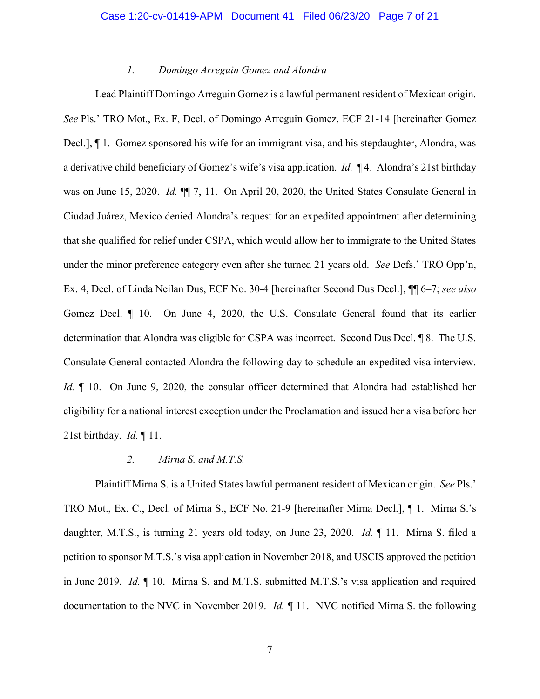# *1. Domingo Arreguin Gomez and Alondra*

Lead Plaintiff Domingo Arreguin Gomez is a lawful permanent resident of Mexican origin. *See* Pls.' TRO Mot., Ex. F, Decl. of Domingo Arreguin Gomez, ECF 21-14 [hereinafter Gomez Decl.], ¶ 1. Gomez sponsored his wife for an immigrant visa, and his stepdaughter, Alondra, was a derivative child beneficiary of Gomez's wife's visa application. *Id.* ¶ 4. Alondra's 21st birthday was on June 15, 2020. *Id.* ¶¶ 7, 11. On April 20, 2020, the United States Consulate General in Ciudad Juárez, Mexico denied Alondra's request for an expedited appointment after determining that she qualified for relief under CSPA, which would allow her to immigrate to the United States under the minor preference category even after she turned 21 years old. *See* Defs.' TRO Opp'n, Ex. 4, Decl. of Linda Neilan Dus, ECF No. 30-4 [hereinafter Second Dus Decl.], ¶¶ 6–7; *see also*  Gomez Decl. ¶ 10. On June 4, 2020, the U.S. Consulate General found that its earlier determination that Alondra was eligible for CSPA was incorrect. Second Dus Decl. ¶ 8. The U.S. Consulate General contacted Alondra the following day to schedule an expedited visa interview. *Id.*  $\parallel$  10. On June 9, 2020, the consular officer determined that Alondra had established her eligibility for a national interest exception under the Proclamation and issued her a visa before her 21st birthday. *Id.* ¶ 11.

# *2. Mirna S. and M.T.S.*

Plaintiff Mirna S. is a United States lawful permanent resident of Mexican origin. *See* Pls.' TRO Mot., Ex. C., Decl. of Mirna S., ECF No. 21-9 [hereinafter Mirna Decl.], ¶ 1. Mirna S.'s daughter, M.T.S., is turning 21 years old today, on June 23, 2020. *Id.* ¶ 11. Mirna S. filed a petition to sponsor M.T.S.'s visa application in November 2018, and USCIS approved the petition in June 2019. *Id.* ¶ 10. Mirna S. and M.T.S. submitted M.T.S.'s visa application and required documentation to the NVC in November 2019. *Id.* ¶ 11. NVC notified Mirna S. the following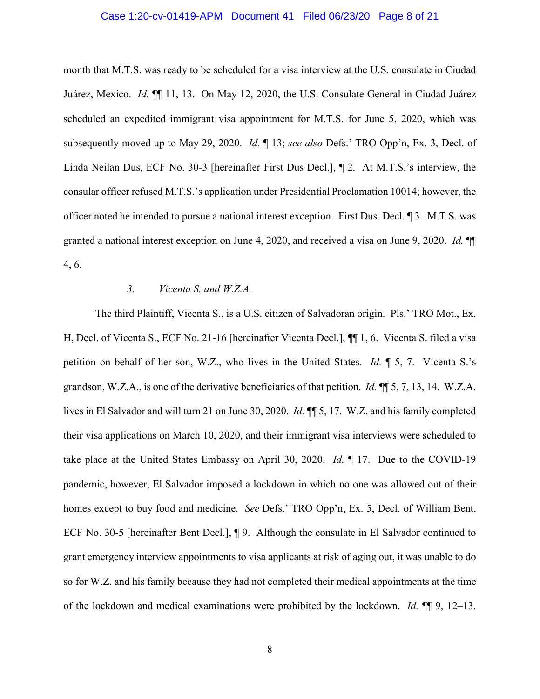## Case 1:20-cv-01419-APM Document 41 Filed 06/23/20 Page 8 of 21

month that M.T.S. was ready to be scheduled for a visa interview at the U.S. consulate in Ciudad Juárez, Mexico. *Id.* ¶¶ 11, 13.On May 12, 2020, the U.S. Consulate General in Ciudad Juárez scheduled an expedited immigrant visa appointment for M.T.S. for June 5, 2020, which was subsequently moved up to May 29, 2020. *Id.* ¶ 13; *see also* Defs.' TRO Opp'n, Ex. 3, Decl. of Linda Neilan Dus, ECF No. 30-3 [hereinafter First Dus Decl.], ¶ 2. At M.T.S.'s interview, the consular officer refused M.T.S.'s application under Presidential Proclamation 10014; however, the officer noted he intended to pursue a national interest exception. First Dus. Decl. ¶ 3. M.T.S. was granted a national interest exception on June 4, 2020, and received a visa on June 9, 2020. *Id.* ¶¶ 4, 6.

### *3. Vicenta S. and W.Z.A.*

The third Plaintiff, Vicenta S., is a U.S. citizen of Salvadoran origin. Pls.' TRO Mot., Ex. H, Decl. of Vicenta S., ECF No. 21-16 [hereinafter Vicenta Decl.], ¶¶ 1, 6. Vicenta S. filed a visa petition on behalf of her son, W.Z., who lives in the United States. *Id.* ¶ 5, 7. Vicenta S.'s grandson, W.Z.A., is one of the derivative beneficiaries of that petition. *Id.* ¶¶ 5, 7, 13, 14. W.Z.A. lives in El Salvador and will turn 21 on June 30, 2020. *Id.* ¶¶ 5, 17. W.Z. and his family completed their visa applications on March 10, 2020, and their immigrant visa interviews were scheduled to take place at the United States Embassy on April 30, 2020. *Id.* ¶ 17. Due to the COVID-19 pandemic, however, El Salvador imposed a lockdown in which no one was allowed out of their homes except to buy food and medicine. *See* Defs.' TRO Opp'n, Ex. 5, Decl. of William Bent, ECF No. 30-5 [hereinafter Bent Decl.], ¶ 9. Although the consulate in El Salvador continued to grant emergency interview appointments to visa applicants at risk of aging out, it was unable to do so for W.Z. and his family because they had not completed their medical appointments at the time of the lockdown and medical examinations were prohibited by the lockdown. *Id.* ¶¶ 9, 12–13.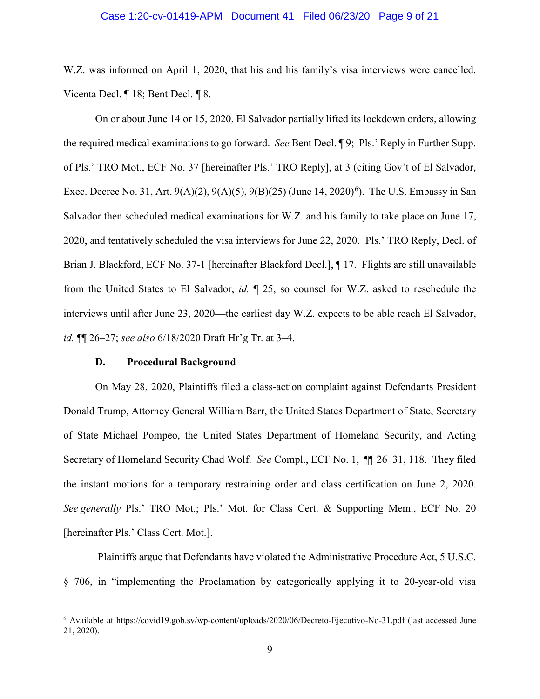### Case 1:20-cv-01419-APM Document 41 Filed 06/23/20 Page 9 of 21

W.Z. was informed on April 1, 2020, that his and his family's visa interviews were cancelled. Vicenta Decl. ¶ 18; Bent Decl. ¶ 8.

On or about June 14 or 15, 2020, El Salvador partially lifted its lockdown orders, allowing the required medical examinations to go forward. *See* Bent Decl. ¶ 9; Pls.' Reply in Further Supp. of Pls.' TRO Mot., ECF No. 37 [hereinafter Pls.' TRO Reply], at 3 (citing Gov't of El Salvador, Exec. Decree No. 31, Art.  $9(A)(2)$ ,  $9(A)(5)$ ,  $9(B)(25)$  (June 14,  $2020)^6$ ). The U.S. Embassy in San Salvador then scheduled medical examinations for W.Z. and his family to take place on June 17, 2020, and tentatively scheduled the visa interviews for June 22, 2020. Pls.' TRO Reply, Decl. of Brian J. Blackford, ECF No. 37-1 [hereinafter Blackford Decl.], ¶ 17. Flights are still unavailable from the United States to El Salvador, *id.* ¶ 25, so counsel for W.Z. asked to reschedule the interviews until after June 23, 2020—the earliest day W.Z. expects to be able reach El Salvador, *id.* ¶¶ 26–27; *see also* 6/18/2020 Draft Hr'g Tr. at 3–4.

# **D. Procedural Background**

l

On May 28, 2020, Plaintiffs filed a class-action complaint against Defendants President Donald Trump, Attorney General William Barr, the United States Department of State, Secretary of State Michael Pompeo, the United States Department of Homeland Security, and Acting Secretary of Homeland Security Chad Wolf. *See* Compl., ECF No. 1, ¶¶ 26–31, 118. They filed the instant motions for a temporary restraining order and class certification on June 2, 2020. *See generally* Pls.' TRO Mot.; Pls.' Mot. for Class Cert. & Supporting Mem., ECF No. 20 [hereinafter Pls.' Class Cert. Mot.].

Plaintiffs argue that Defendants have violated the Administrative Procedure Act, 5 U.S.C. § 706, in "implementing the Proclamation by categorically applying it to 20-year-old visa

<sup>6</sup> Available at https://covid19.gob.sv/wp-content/uploads/2020/06/Decreto-Ejecutivo-No-31.pdf (last accessed June 21, 2020).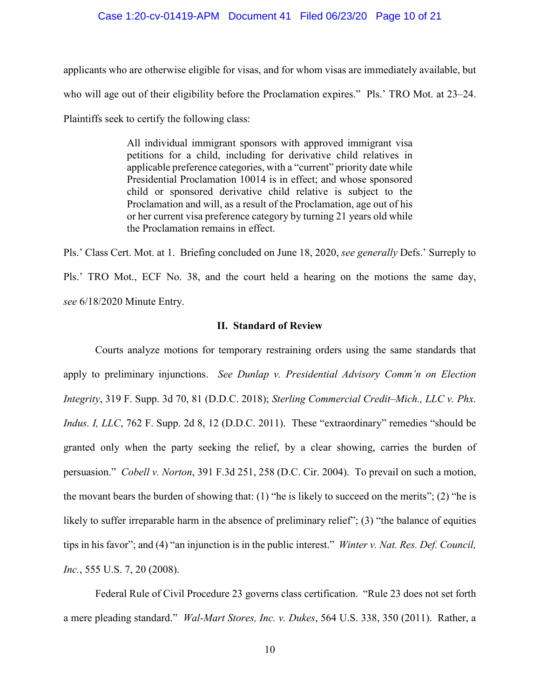### Case 1:20-cv-01419-APM Document 41 Filed 06/23/20 Page 10 of 21

applicants who are otherwise eligible for visas, and for whom visas are immediately available, but who will age out of their eligibility before the Proclamation expires." Pls.' TRO Mot. at 23–24. Plaintiffs seek to certify the following class:

> All individual immigrant sponsors with approved immigrant visa petitions for a child, including for derivative child relatives in applicable preference categories, with a "current" priority date while Presidential Proclamation 10014 is in effect; and whose sponsored child or sponsored derivative child relative is subject to the Proclamation and will, as a result of the Proclamation, age out of his or her current visa preference category by turning 21 years old while the Proclamation remains in effect.

Pls.' Class Cert. Mot. at 1. Briefing concluded on June 18, 2020, *see generally* Defs.' Surreply to Pls.' TRO Mot., ECF No. 38, and the court held a hearing on the motions the same day, *see* 6/18/2020 Minute Entry.

# **II. Standard of Review**

Courts analyze motions for temporary restraining orders using the same standards that apply to preliminary injunctions. *See Dunlap v. Presidential Advisory Comm'n on Election Integrity*, 319 F. Supp. 3d 70, 81 (D.D.C. 2018); *Sterling Commercial Credit–Mich., LLC v. Phx. Indus. I, LLC*, 762 F. Supp. 2d 8, 12 (D.D.C. 2011). These "extraordinary" remedies "should be granted only when the party seeking the relief, by a clear showing, carries the burden of persuasion." *Cobell v. Norton*, 391 F.3d 251, 258 (D.C. Cir. 2004). To prevail on such a motion, the movant bears the burden of showing that: (1) "he is likely to succeed on the merits"; (2) "he is likely to suffer irreparable harm in the absence of preliminary relief"; (3) "the balance of equities tips in his favor"; and (4) "an injunction is in the public interest." *Winter v. Nat. Res. Def. Council, Inc.*, 555 U.S. 7, 20 (2008).

Federal Rule of Civil Procedure 23 governs class certification. "Rule 23 does not set forth a mere pleading standard." *Wal-Mart Stores, Inc. v. Dukes*, 564 U.S. 338, 350 (2011). Rather, a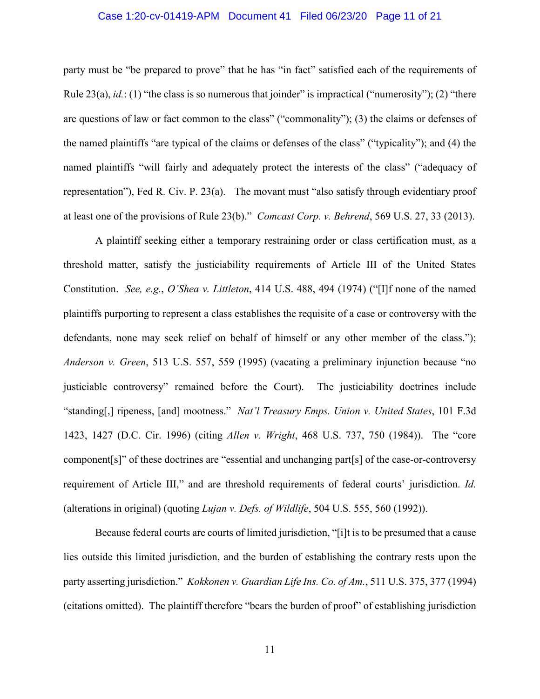# Case 1:20-cv-01419-APM Document 41 Filed 06/23/20 Page 11 of 21

party must be "be prepared to prove" that he has "in fact" satisfied each of the requirements of Rule  $23(a)$ , *id.*: (1) "the class is so numerous that joinder" is impractical ("numerosity"); (2) "there are questions of law or fact common to the class" ("commonality"); (3) the claims or defenses of the named plaintiffs "are typical of the claims or defenses of the class" ("typicality"); and (4) the named plaintiffs "will fairly and adequately protect the interests of the class" ("adequacy of representation"), Fed R. Civ. P. 23(a). The movant must "also satisfy through evidentiary proof at least one of the provisions of Rule 23(b)." *Comcast Corp. v. Behrend*, 569 U.S. 27, 33 (2013).

A plaintiff seeking either a temporary restraining order or class certification must, as a threshold matter, satisfy the justiciability requirements of Article III of the United States Constitution. *See, e.g.*, *O'Shea v. Littleton*, 414 U.S. 488, 494 (1974) ("[I]f none of the named plaintiffs purporting to represent a class establishes the requisite of a case or controversy with the defendants, none may seek relief on behalf of himself or any other member of the class."); *Anderson v. Green*, 513 U.S. 557, 559 (1995) (vacating a preliminary injunction because "no justiciable controversy" remained before the Court). The justiciability doctrines include "standing[,] ripeness, [and] mootness." *Nat'l Treasury Emps. Union v. United States*, 101 F.3d 1423, 1427 (D.C. Cir. 1996) (citing *Allen v. Wright*, 468 U.S. 737, 750 (1984)). The "core component[s]" of these doctrines are "essential and unchanging part[s] of the case-or-controversy requirement of Article III," and are threshold requirements of federal courts' jurisdiction. *Id.*  (alterations in original) (quoting *Lujan v. Defs. of Wildlife*, 504 U.S. 555, 560 (1992)).

Because federal courts are courts of limited jurisdiction, "[i]t is to be presumed that a cause lies outside this limited jurisdiction, and the burden of establishing the contrary rests upon the party asserting jurisdiction." *Kokkonen v. Guardian Life Ins. Co. of Am.*, 511 U.S. 375, 377 (1994) (citations omitted). The plaintiff therefore "bears the burden of proof" of establishing jurisdiction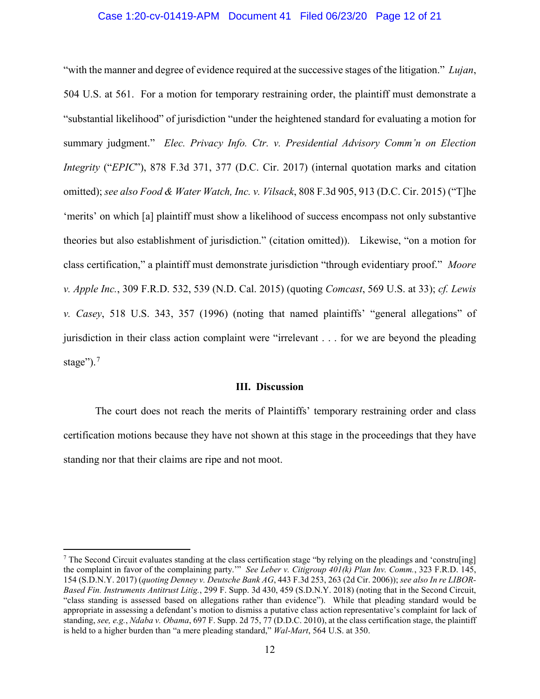# Case 1:20-cv-01419-APM Document 41 Filed 06/23/20 Page 12 of 21

"with the manner and degree of evidence required at the successive stages of the litigation." *Lujan*, 504 U.S. at 561. For a motion for temporary restraining order, the plaintiff must demonstrate a "substantial likelihood" of jurisdiction "under the heightened standard for evaluating a motion for summary judgment." *Elec. Privacy Info. Ctr. v. Presidential Advisory Comm'n on Election Integrity* ("*EPIC*"), 878 F.3d 371, 377 (D.C. Cir. 2017) (internal quotation marks and citation omitted); *see also Food & Water Watch, Inc. v. Vilsack*, 808 F.3d 905, 913 (D.C. Cir. 2015) ("T]he 'merits' on which [a] plaintiff must show a likelihood of success encompass not only substantive theories but also establishment of jurisdiction." (citation omitted)). Likewise, "on a motion for class certification," a plaintiff must demonstrate jurisdiction "through evidentiary proof." *Moore v. Apple Inc.*, 309 F.R.D. 532, 539 (N.D. Cal. 2015) (quoting *Comcast*, 569 U.S. at 33); *cf. Lewis v. Casey*, 518 U.S. 343, 357 (1996) (noting that named plaintiffs' "general allegations" of jurisdiction in their class action complaint were "irrelevant . . . for we are beyond the pleading stage"). $<sup>7</sup>$ </sup>

# **III. Discussion**

The court does not reach the merits of Plaintiffs' temporary restraining order and class certification motions because they have not shown at this stage in the proceedings that they have standing nor that their claims are ripe and not moot.

 $7$  The Second Circuit evaluates standing at the class certification stage "by relying on the pleadings and 'constru[ing] the complaint in favor of the complaining party.'" *See Leber v. Citigroup 401(k) Plan Inv. Comm.*, 323 F.R.D. 145, 154 (S.D.N.Y. 2017) (*quoting Denney v. Deutsche Bank AG*, 443 F.3d 253, 263 (2d Cir. 2006)); *see also In re LIBOR-Based Fin. Instruments Antitrust Litig.*, 299 F. Supp. 3d 430, 459 (S.D.N.Y. 2018) (noting that in the Second Circuit, "class standing is assessed based on allegations rather than evidence"). While that pleading standard would be appropriate in assessing a defendant's motion to dismiss a putative class action representative's complaint for lack of standing, *see, e.g.*, *Ndaba v. Obama*, 697 F. Supp. 2d 75, 77 (D.D.C. 2010), at the class certification stage, the plaintiff is held to a higher burden than "a mere pleading standard," *Wal-Mart*, 564 U.S. at 350.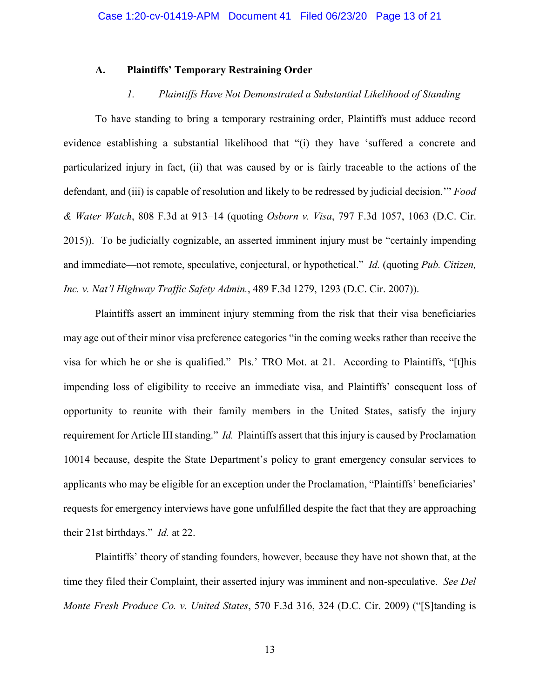## **A. Plaintiffs' Temporary Restraining Order**

# *1. Plaintiffs Have Not Demonstrated a Substantial Likelihood of Standing*

To have standing to bring a temporary restraining order, Plaintiffs must adduce record evidence establishing a substantial likelihood that "(i) they have 'suffered a concrete and particularized injury in fact, (ii) that was caused by or is fairly traceable to the actions of the defendant, and (iii) is capable of resolution and likely to be redressed by judicial decision.'" *Food & Water Watch*, 808 F.3d at 913–14 (quoting *Osborn v. Visa*, 797 F.3d 1057, 1063 (D.C. Cir. 2015)). To be judicially cognizable, an asserted imminent injury must be "certainly impending and immediate—not remote, speculative, conjectural, or hypothetical." *Id.* (quoting *Pub. Citizen, Inc. v. Nat'l Highway Traffic Safety Admin.*, 489 F.3d 1279, 1293 (D.C. Cir. 2007)).

Plaintiffs assert an imminent injury stemming from the risk that their visa beneficiaries may age out of their minor visa preference categories "in the coming weeks rather than receive the visa for which he or she is qualified." Pls.' TRO Mot. at 21. According to Plaintiffs, "[t]his impending loss of eligibility to receive an immediate visa, and Plaintiffs' consequent loss of opportunity to reunite with their family members in the United States, satisfy the injury requirement for Article III standing." *Id.* Plaintiffs assert that this injury is caused by Proclamation 10014 because, despite the State Department's policy to grant emergency consular services to applicants who may be eligible for an exception under the Proclamation, "Plaintiffs' beneficiaries' requests for emergency interviews have gone unfulfilled despite the fact that they are approaching their 21st birthdays." *Id.* at 22.

Plaintiffs' theory of standing founders, however, because they have not shown that, at the time they filed their Complaint, their asserted injury was imminent and non-speculative. *See Del Monte Fresh Produce Co. v. United States*, 570 F.3d 316, 324 (D.C. Cir. 2009) ("[S]tanding is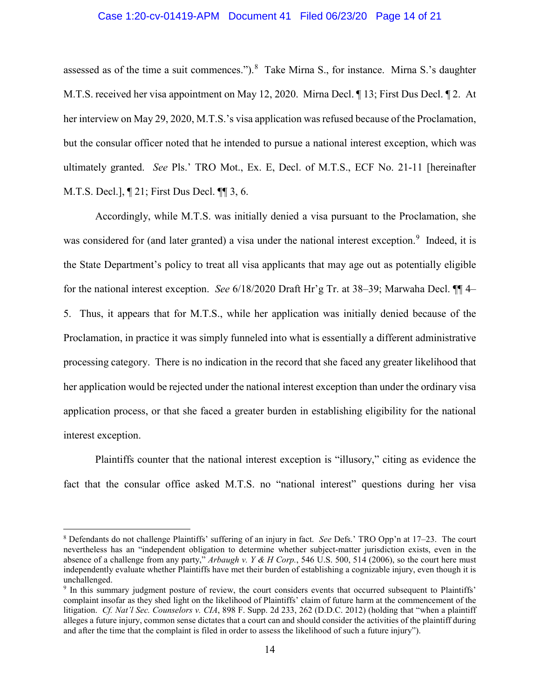### Case 1:20-cv-01419-APM Document 41 Filed 06/23/20 Page 14 of 21

assessed as of the time a suit commences."). $8$  Take Mirna S., for instance. Mirna S.'s daughter M.T.S. received her visa appointment on May 12, 2020. Mirna Decl. ¶ 13; First Dus Decl. ¶ 2. At her interview on May 29, 2020, M.T.S.'s visa application was refused because of the Proclamation, but the consular officer noted that he intended to pursue a national interest exception, which was ultimately granted. *See* Pls.' TRO Mot., Ex. E, Decl. of M.T.S., ECF No. 21-11 [hereinafter M.T.S. Decl.], ¶ 21; First Dus Decl. ¶¶ 3, 6.

Accordingly, while M.T.S. was initially denied a visa pursuant to the Proclamation, she was considered for (and later granted) a visa under the national interest exception.<sup>9</sup> Indeed, it is the State Department's policy to treat all visa applicants that may age out as potentially eligible for the national interest exception. *See* 6/18/2020 Draft Hr'g Tr. at 38–39; Marwaha Decl. ¶¶ 4– 5. Thus, it appears that for M.T.S., while her application was initially denied because of the Proclamation, in practice it was simply funneled into what is essentially a different administrative processing category. There is no indication in the record that she faced any greater likelihood that her application would be rejected under the national interest exception than under the ordinary visa application process, or that she faced a greater burden in establishing eligibility for the national interest exception.

Plaintiffs counter that the national interest exception is "illusory," citing as evidence the fact that the consular office asked M.T.S. no "national interest" questions during her visa

<sup>8</sup> Defendants do not challenge Plaintiffs' suffering of an injury in fact. *See* Defs.' TRO Opp'n at 17–23. The court nevertheless has an "independent obligation to determine whether subject-matter jurisdiction exists, even in the absence of a challenge from any party," *Arbaugh v. Y & H Corp.*, 546 U.S. 500, 514 (2006), so the court here must independently evaluate whether Plaintiffs have met their burden of establishing a cognizable injury, even though it is unchallenged.

<sup>9</sup> In this summary judgment posture of review, the court considers events that occurred subsequent to Plaintiffs' complaint insofar as they shed light on the likelihood of Plaintiffs' claim of future harm at the commencement of the litigation. *Cf. Nat'l Sec. Counselors v. CIA*, 898 F. Supp. 2d 233, 262 (D.D.C. 2012) (holding that "when a plaintiff alleges a future injury, common sense dictates that a court can and should consider the activities of the plaintiff during and after the time that the complaint is filed in order to assess the likelihood of such a future injury").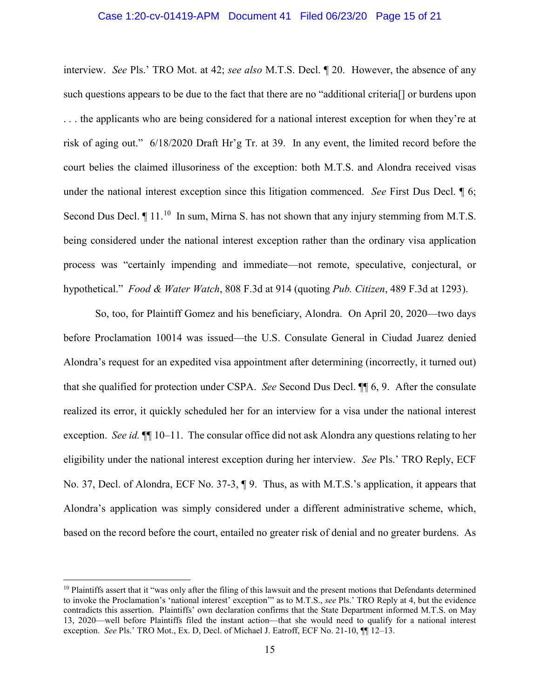# Case 1:20-cv-01419-APM Document 41 Filed 06/23/20 Page 15 of 21

interview. *See* Pls.' TRO Mot. at 42; *see also* M.T.S. Decl. ¶ 20. However, the absence of any such questions appears to be due to the fact that there are no "additional criteria[] or burdens upon . . . the applicants who are being considered for a national interest exception for when they're at risk of aging out." 6/18/2020 Draft Hr'g Tr. at 39. In any event, the limited record before the court belies the claimed illusoriness of the exception: both M.T.S. and Alondra received visas under the national interest exception since this litigation commenced. *See* First Dus Decl. ¶ 6; Second Dus Decl.  $\P$  11.<sup>10</sup> In sum, Mirna S. has not shown that any injury stemming from M.T.S. being considered under the national interest exception rather than the ordinary visa application process was "certainly impending and immediate—not remote, speculative, conjectural, or hypothetical." *Food & Water Watch*, 808 F.3d at 914 (quoting *Pub. Citizen*, 489 F.3d at 1293).

So, too, for Plaintiff Gomez and his beneficiary, Alondra. On April 20, 2020—two days before Proclamation 10014 was issued—the U.S. Consulate General in Ciudad Juarez denied Alondra's request for an expedited visa appointment after determining (incorrectly, it turned out) that she qualified for protection under CSPA. *See* Second Dus Decl. ¶¶ 6, 9. After the consulate realized its error, it quickly scheduled her for an interview for a visa under the national interest exception. *See id.* ¶¶ 10–11. The consular office did not ask Alondra any questions relating to her eligibility under the national interest exception during her interview. *See* Pls.' TRO Reply, ECF No. 37, Decl. of Alondra, ECF No. 37-3, ¶ 9. Thus, as with M.T.S.'s application, it appears that Alondra's application was simply considered under a different administrative scheme, which, based on the record before the court, entailed no greater risk of denial and no greater burdens. As

 $\overline{\phantom{a}}$ 

 $10$  Plaintiffs assert that it "was only after the filing of this lawsuit and the present motions that Defendants determined to invoke the Proclamation's 'national interest' exception'" as to M.T.S., *see* Pls.' TRO Reply at 4, but the evidence contradicts this assertion. Plaintiffs' own declaration confirms that the State Department informed M.T.S. on May 13, 2020—well before Plaintiffs filed the instant action—that she would need to qualify for a national interest exception. *See* Pls.' TRO Mot., Ex. D, Decl. of Michael J. Eatroff, ECF No. 21-10, ¶¶ 12–13.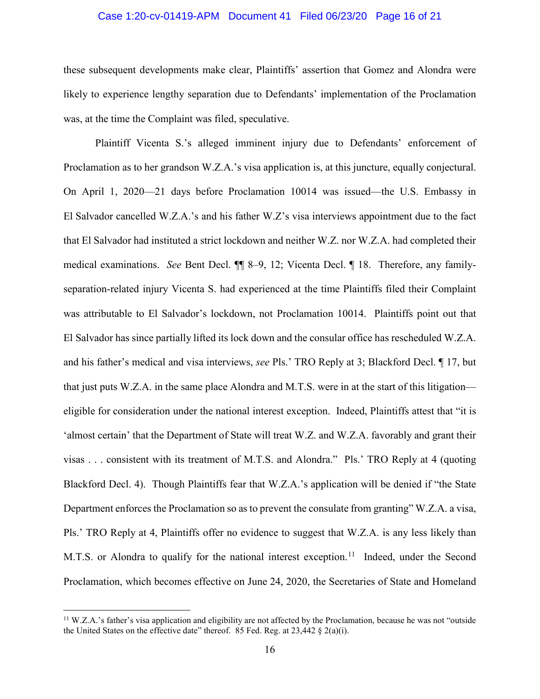# Case 1:20-cv-01419-APM Document 41 Filed 06/23/20 Page 16 of 21

these subsequent developments make clear, Plaintiffs' assertion that Gomez and Alondra were likely to experience lengthy separation due to Defendants' implementation of the Proclamation was, at the time the Complaint was filed, speculative.

Plaintiff Vicenta S.'s alleged imminent injury due to Defendants' enforcement of Proclamation as to her grandson W.Z.A.'s visa application is, at this juncture, equally conjectural. On April 1, 2020—21 days before Proclamation 10014 was issued—the U.S. Embassy in El Salvador cancelled W.Z.A.'s and his father W.Z's visa interviews appointment due to the fact that El Salvador had instituted a strict lockdown and neither W.Z. nor W.Z.A. had completed their medical examinations. *See* Bent Decl. ¶¶ 8–9, 12; Vicenta Decl. ¶ 18. Therefore, any familyseparation-related injury Vicenta S. had experienced at the time Plaintiffs filed their Complaint was attributable to El Salvador's lockdown, not Proclamation 10014. Plaintiffs point out that El Salvador has since partially lifted its lock down and the consular office has rescheduled W.Z.A. and his father's medical and visa interviews, *see* Pls.' TRO Reply at 3; Blackford Decl. ¶ 17, but that just puts W.Z.A. in the same place Alondra and M.T.S. were in at the start of this litigation eligible for consideration under the national interest exception. Indeed, Plaintiffs attest that "it is 'almost certain' that the Department of State will treat W.Z. and W.Z.A. favorably and grant their visas . . . consistent with its treatment of M.T.S. and Alondra." Pls.' TRO Reply at 4 (quoting Blackford Decl. 4). Though Plaintiffs fear that W.Z.A.'s application will be denied if "the State Department enforces the Proclamation so as to prevent the consulate from granting" W.Z.A. a visa, Pls.' TRO Reply at 4, Plaintiffs offer no evidence to suggest that W.Z.A. is any less likely than M.T.S. or Alondra to qualify for the national interest exception.<sup>11</sup> Indeed, under the Second Proclamation, which becomes effective on June 24, 2020, the Secretaries of State and Homeland

<sup>&</sup>lt;sup>11</sup> W.Z.A.'s father's visa application and eligibility are not affected by the Proclamation, because he was not "outside the United States on the effective date" thereof. 85 Fed. Reg. at  $23,442 \text{ } \frac{8}{9}$   $2(a)(i)$ .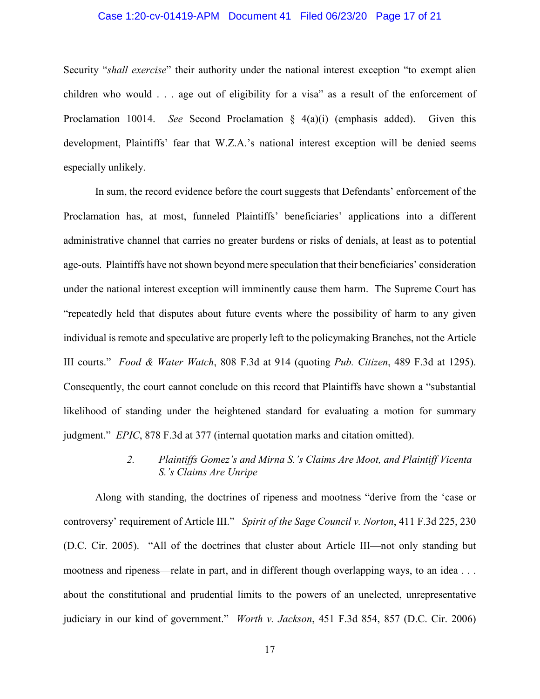# Case 1:20-cv-01419-APM Document 41 Filed 06/23/20 Page 17 of 21

Security "*shall exercise*" their authority under the national interest exception "to exempt alien children who would . . . age out of eligibility for a visa" as a result of the enforcement of Proclamation 10014. *See* Second Proclamation § 4(a)(i) (emphasis added). Given this development, Plaintiffs' fear that W.Z.A.'s national interest exception will be denied seems especially unlikely.

In sum, the record evidence before the court suggests that Defendants' enforcement of the Proclamation has, at most, funneled Plaintiffs' beneficiaries' applications into a different administrative channel that carries no greater burdens or risks of denials, at least as to potential age-outs. Plaintiffs have not shown beyond mere speculation that their beneficiaries' consideration under the national interest exception will imminently cause them harm. The Supreme Court has "repeatedly held that disputes about future events where the possibility of harm to any given individual is remote and speculative are properly left to the policymaking Branches, not the Article III courts." *Food & Water Watch*, 808 F.3d at 914 (quoting *Pub. Citizen*, 489 F.3d at 1295). Consequently, the court cannot conclude on this record that Plaintiffs have shown a "substantial likelihood of standing under the heightened standard for evaluating a motion for summary judgment." *EPIC*, 878 F.3d at 377 (internal quotation marks and citation omitted).

# *2. Plaintiffs Gomez's and Mirna S.'s Claims Are Moot, and Plaintiff Vicenta S.'s Claims Are Unripe*

Along with standing, the doctrines of ripeness and mootness "derive from the 'case or controversy' requirement of Article III." *Spirit of the Sage Council v. Norton*, 411 F.3d 225, 230 (D.C. Cir. 2005). "All of the doctrines that cluster about Article III—not only standing but mootness and ripeness—relate in part, and in different though overlapping ways, to an idea . . . about the constitutional and prudential limits to the powers of an unelected, unrepresentative judiciary in our kind of government." *Worth v. Jackson*, 451 F.3d 854, 857 (D.C. Cir. 2006)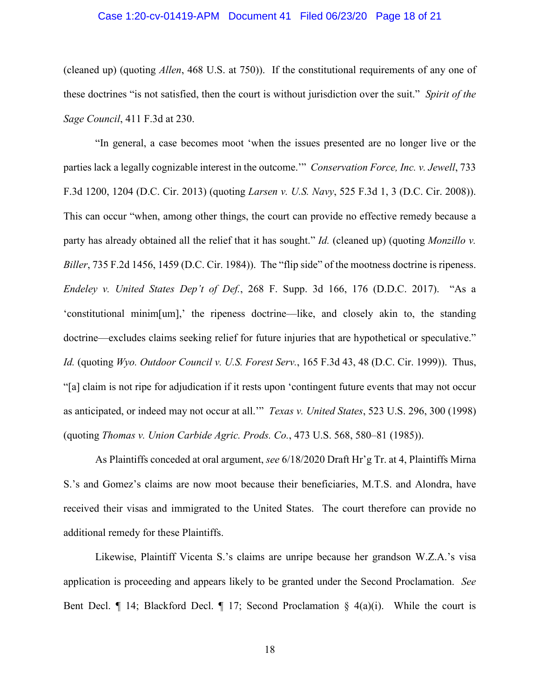### Case 1:20-cv-01419-APM Document 41 Filed 06/23/20 Page 18 of 21

(cleaned up) (quoting *Allen*, 468 U.S. at 750)). If the constitutional requirements of any one of these doctrines "is not satisfied, then the court is without jurisdiction over the suit." *Spirit of the Sage Council*, 411 F.3d at 230.

"In general, a case becomes moot 'when the issues presented are no longer live or the parties lack a legally cognizable interest in the outcome.'" *Conservation Force, Inc. v. Jewell*, 733 F.3d 1200, 1204 (D.C. Cir. 2013) (quoting *Larsen v. U.S. Navy*, 525 F.3d 1, 3 (D.C. Cir. 2008)). This can occur "when, among other things, the court can provide no effective remedy because a party has already obtained all the relief that it has sought." *Id.* (cleaned up) (quoting *Monzillo v. Biller*, 735 F.2d 1456, 1459 (D.C. Cir. 1984)). The "flip side" of the mootness doctrine is ripeness. *Endeley v. United States Dep't of Def.*, 268 F. Supp. 3d 166, 176 (D.D.C. 2017). "As a 'constitutional minim[um],' the ripeness doctrine—like, and closely akin to, the standing doctrine—excludes claims seeking relief for future injuries that are hypothetical or speculative." *Id.* (quoting *Wyo. Outdoor Council v. U.S. Forest Serv.*, 165 F.3d 43, 48 (D.C. Cir. 1999)). Thus, "[a] claim is not ripe for adjudication if it rests upon 'contingent future events that may not occur as anticipated, or indeed may not occur at all.'" *Texas v. United States*, 523 U.S. 296, 300 (1998) (quoting *Thomas v. Union Carbide Agric. Prods. Co.*, 473 U.S. 568, 580–81 (1985)).

As Plaintiffs conceded at oral argument, *see* 6/18/2020 Draft Hr'g Tr. at 4, Plaintiffs Mirna S.'s and Gomez's claims are now moot because their beneficiaries, M.T.S. and Alondra, have received their visas and immigrated to the United States. The court therefore can provide no additional remedy for these Plaintiffs.

Likewise, Plaintiff Vicenta S.'s claims are unripe because her grandson W.Z.A.'s visa application is proceeding and appears likely to be granted under the Second Proclamation. *See*  Bent Decl.  $\P$  14; Blackford Decl.  $\P$  17; Second Proclamation § 4(a)(i). While the court is

18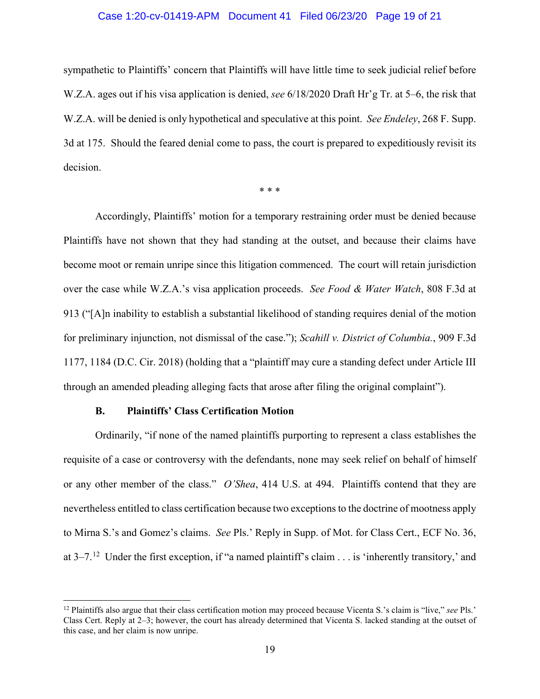# Case 1:20-cv-01419-APM Document 41 Filed 06/23/20 Page 19 of 21

sympathetic to Plaintiffs' concern that Plaintiffs will have little time to seek judicial relief before W.Z.A. ages out if his visa application is denied, *see* 6/18/2020 Draft Hr'g Tr. at 5–6, the risk that W.Z.A. will be denied is only hypothetical and speculative at this point. *See Endeley*, 268 F. Supp. 3d at 175. Should the feared denial come to pass, the court is prepared to expeditiously revisit its decision.

\* \* \*

Accordingly, Plaintiffs' motion for a temporary restraining order must be denied because Plaintiffs have not shown that they had standing at the outset, and because their claims have become moot or remain unripe since this litigation commenced. The court will retain jurisdiction over the case while W.Z.A.'s visa application proceeds. *See Food & Water Watch*, 808 F.3d at 913 ("[A]n inability to establish a substantial likelihood of standing requires denial of the motion for preliminary injunction, not dismissal of the case."); *Scahill v. District of Columbia.*, 909 F.3d 1177, 1184 (D.C. Cir. 2018) (holding that a "plaintiff may cure a standing defect under Article III through an amended pleading alleging facts that arose after filing the original complaint").

# **B. Plaintiffs' Class Certification Motion**

l

Ordinarily, "if none of the named plaintiffs purporting to represent a class establishes the requisite of a case or controversy with the defendants, none may seek relief on behalf of himself or any other member of the class." *O'Shea*, 414 U.S. at 494. Plaintiffs contend that they are nevertheless entitled to class certification because two exceptions to the doctrine of mootness apply to Mirna S.'s and Gomez's claims. *See* Pls.' Reply in Supp. of Mot. for Class Cert., ECF No. 36, at  $3-7$ .<sup>12</sup> Under the first exception, if "a named plaintiff's claim . . . is 'inherently transitory,' and

<sup>12</sup> Plaintiffs also argue that their class certification motion may proceed because Vicenta S.'s claim is "live," *see* Pls.' Class Cert. Reply at 2–3; however, the court has already determined that Vicenta S. lacked standing at the outset of this case, and her claim is now unripe.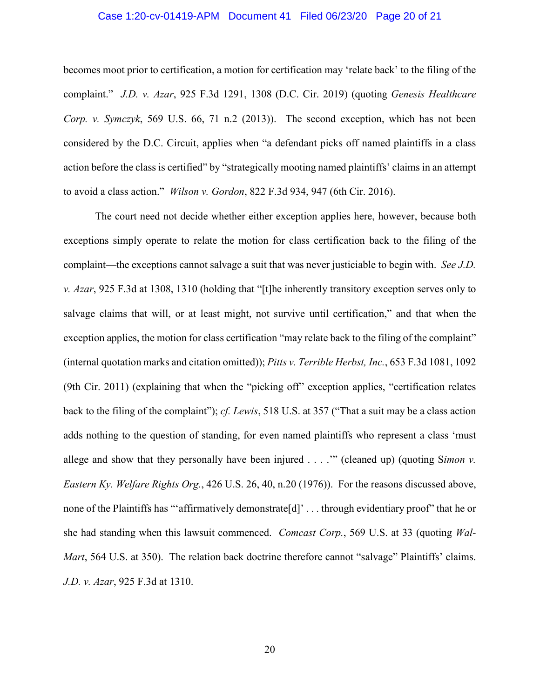## Case 1:20-cv-01419-APM Document 41 Filed 06/23/20 Page 20 of 21

becomes moot prior to certification, a motion for certification may 'relate back' to the filing of the complaint." *J.D. v. Azar*, 925 F.3d 1291, 1308 (D.C. Cir. 2019) (quoting *Genesis Healthcare Corp. v. Symczyk*, 569 U.S. 66, 71 n.2 (2013)). The second exception, which has not been considered by the D.C. Circuit, applies when "a defendant picks off named plaintiffs in a class action before the class is certified" by "strategically mooting named plaintiffs' claims in an attempt to avoid a class action." *Wilson v. Gordon*, 822 F.3d 934, 947 (6th Cir. 2016).

The court need not decide whether either exception applies here, however, because both exceptions simply operate to relate the motion for class certification back to the filing of the complaint—the exceptions cannot salvage a suit that was never justiciable to begin with. *See J.D. v. Azar*, 925 F.3d at 1308, 1310 (holding that "[t]he inherently transitory exception serves only to salvage claims that will, or at least might, not survive until certification," and that when the exception applies, the motion for class certification "may relate back to the filing of the complaint" (internal quotation marks and citation omitted)); *Pitts v. Terrible Herbst, Inc.*, 653 F.3d 1081, 1092 (9th Cir. 2011) (explaining that when the "picking off" exception applies, "certification relates back to the filing of the complaint"); *cf. Lewis*, 518 U.S. at 357 ("That a suit may be a class action adds nothing to the question of standing, for even named plaintiffs who represent a class 'must allege and show that they personally have been injured . . . .'" (cleaned up) (quoting S*imon v. Eastern Ky. Welfare Rights Org.*, 426 U.S. 26, 40, n.20 (1976)). For the reasons discussed above, none of the Plaintiffs has "affirmatively demonstrate [d]' ... through evidentiary proof" that he or she had standing when this lawsuit commenced. *Comcast Corp.*, 569 U.S. at 33 (quoting *Wal-Mart*, 564 U.S. at 350). The relation back doctrine therefore cannot "salvage" Plaintiffs' claims. *J.D. v. Azar*, 925 F.3d at 1310.